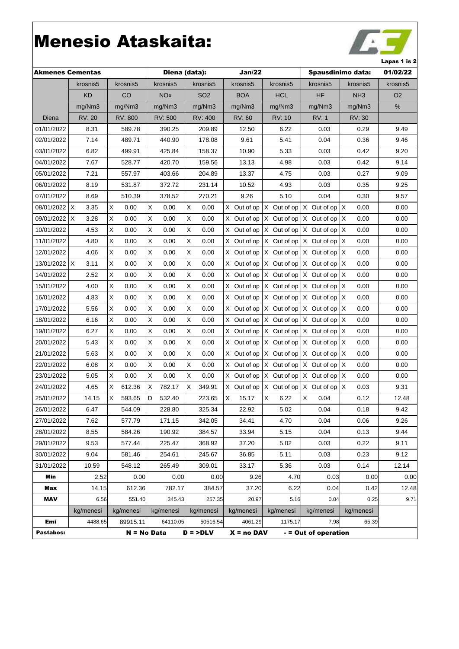

|                         |                      |             |                       |                 |               |                 |                      |                   | ∟араэ + 1э7    |
|-------------------------|----------------------|-------------|-----------------------|-----------------|---------------|-----------------|----------------------|-------------------|----------------|
| <b>Akmenes Cementas</b> |                      |             |                       | Diena (data):   | Jan/22        |                 |                      | Spausdinimo data: | 01/02/22       |
|                         | krosnis5             | krosnis5    | krosnis5              | krosnis5        | krosnis5      | krosnis5        | krosnis5             | krosnis5          | krosnis5       |
|                         | <b>KD</b>            | CO          | <b>NO<sub>x</sub></b> | SO <sub>2</sub> | <b>BOA</b>    | <b>HCL</b>      | ΗF                   | NH <sub>3</sub>   | O <sub>2</sub> |
|                         | mg/Nm3               | mg/Nm3      | mg/Nm3                | mg/Nm3          | mg/Nm3        | mg/Nm3          | mg/Nm3               | mg/Nm3            | $\%$           |
| Diena                   | <b>RV: 20</b>        | RV: 800     | <b>RV: 500</b>        | RV: 400         | <b>RV: 60</b> | <b>RV: 10</b>   | <b>RV: 1</b>         | RV: 30            |                |
| 01/01/2022              | 8.31                 | 589.78      | 390.25                | 209.89          | 12.50         | 6.22            | 0.03                 | 0.29              | 9.49           |
| 02/01/2022              | 7.14                 | 489.71      | 440.90                | 178.08          | 9.61          | 5.41            | 0.04                 | 0.36              | 9.46           |
| 03/01/2022              | 6.82                 | 499.91      | 425.84                | 158.37          | 10.90         | 5.33            | 0.03                 | 0.42              | 9.20           |
| 04/01/2022              | 7.67                 | 528.77      | 420.70                | 159.56          | 13.13         | 4.98            | 0.03                 | 0.42              | 9.14           |
| 05/01/2022              | 7.21                 | 557.97      | 403.66                | 204.89          | 13.37         | 4.75            | 0.03                 | 0.27              | 9.09           |
| 06/01/2022              | 8.19                 | 531.87      | 372.72                | 231.14          | 10.52         | 4.93            | 0.03                 | 0.35              | 9.25           |
| 07/01/2022              | 8.69                 | 510.39      | 378.52                | 270.21          | 9.26          | 5.10            | 0.04                 | 0.30              | 9.57           |
| 08/01/2022              | X<br>3.35            | Х<br>0.00   | X<br>0.00             | X<br>0.00       | X Out of op   | X Out of op     | X Out of op          | ΙX<br>0.00        | 0.00           |
| 09/01/2022              | $\mathsf{X}$<br>3.28 | Χ<br>0.00   | X<br>0.00             | X<br>0.00       | X Out of op   | X Out of op     | X Out of op          | ΙX<br>0.00        | 0.00           |
| 10/01/2022              | 4.53                 | Χ<br>0.00   | X<br>0.00             | X<br>0.00       | X Out of op   | X Out of op     | X Out of op          | ΙX<br>0.00        | 0.00           |
| 11/01/2022              | 4.80                 | Χ<br>0.00   | $\sf X$<br>0.00       | X<br>0.00       | X Out of op   | Out of op<br>X. | X Out of op          | ΙX<br>0.00        | 0.00           |
| 12/01/2022              | 4.06                 | Χ<br>0.00   | X<br>0.00             | X<br>0.00       | X Out of op   | Out of op<br>X  | X Out of op          | ΙX<br>0.00        | 0.00           |
| 13/01/2022              | Χ<br>3.11            | Х<br>0.00   | X<br>0.00             | Х<br>0.00       | X Out of op   | X Out of op     | X Out of op          | ΙX<br>0.00        | 0.00           |
| 14/01/2022              | 2.52                 | X<br>0.00   | X<br>0.00             | X<br>0.00       | X Out of op   | X Out of op     | X Out of op          | ΙX<br>0.00        | 0.00           |
| 15/01/2022              | 4.00                 | Χ<br>0.00   | X<br>0.00             | X<br>0.00       | X Out of op   | X Out of op     | X Out of op          | ΙX<br>0.00        | 0.00           |
| 16/01/2022              | 4.83                 | Χ<br>0.00   | X<br>0.00             | X<br>0.00       | X Out of op   | $X$ Out of op   | X Out of op          | ΙX<br>0.00        | 0.00           |
| 17/01/2022              | 5.56                 | Χ<br>0.00   | X<br>0.00             | Χ<br>0.00       | X Out of op   | X Out of op     | X Out of op          | ΙX<br>0.00        | 0.00           |
| 18/01/2022              | 6.16                 | X<br>0.00   | X<br>0.00             | X<br>0.00       | X Out of op   | $X$ Out of op   | X Out of op          | ΙX<br>0.00        | 0.00           |
| 19/01/2022              | 6.27                 | X<br>0.00   | X<br>0.00             | X<br>0.00       | X Out of op   | X Out of op     | X Out of op          | ΙX<br>0.00        | 0.00           |
| 20/01/2022              | 5.43                 | Х<br>0.00   | X<br>0.00             | X<br>0.00       | X Out of op   | X Out of op     | X Out of op          | ΙX<br>0.00        | 0.00           |
| 21/01/2022              | 5.63                 | X<br>0.00   | X<br>0.00             | X<br>0.00       | X Out of op   | $X$ Out of op   | X Out of op          | ΙX<br>0.00        | 0.00           |
| 22/01/2022              | 6.08                 | X<br>0.00   | X<br>0.00             | X<br>0.00       | X Out of op   | X Out of op     | X Out of op          | ΙX<br>0.00        | 0.00           |
| 23/01/2022              | 5.05                 | X<br>0.00   | X<br>0.00             | X<br>0.00       | X Out of op   | X Out of op     | X Out of op          | ΙX<br>0.00        | 0.00           |
| 24/01/2022              | 4.65                 | X<br>612.36 | Χ<br>782.17           | X<br>349.91     | X Out of op   | X Out of op     | X Out of op          | ΙX<br>0.03        | 9.31           |
| 25/01/2022              | 14.15                | X<br>593.65 | D<br>532.40           | 223.65          | X<br>15.17    | X<br>6.22       | $\sf X$<br>0.04      | 0.12              | 12.48          |
| 26/01/2022              | 6.47                 | 544.09      | 228.80                | 325.34          | 22.92         | 5.02            | 0.04                 | 0.18              | 9.42           |
| 27/01/2022              | 7.62                 | 577.79      | 171.15                | 342.05          | 34.41         | 4.70            | 0.04                 | 0.06              | 9.26           |
| 28/01/2022              | 8.55                 | 584.26      | 190.92                | 384.57          | 33.94         | 5.15            | 0.04                 | 0.13              | 9.44           |
| 29/01/2022              | 9.53                 | 577.44      | 225.47                | 368.92          | 37.20         | 5.02            | 0.03                 | 0.22              | 9.11           |
| 30/01/2022              | 9.04                 | 581.46      | 254.61                | 245.67          | 36.85         | 5.11            | 0.03                 | 0.23              | 9.12           |
| 31/01/2022              | 10.59                | 548.12      | 265.49                | 309.01          | 33.17         | 5.36            | 0.03                 | 0.14              | 12.14          |
| Min                     | 2.52                 | 0.00        | 0.00                  | 0.00            | 9.26          | 4.70            | 0.03                 | 0.00              | 0.00           |
| Max                     | 14.15                | 612.36      | 782.17                | 384.57          | 37.20         | 6.22            | 0.04                 | 0.42              | 12.48          |
| <b>MAV</b>              | 6.56                 | 551.40      | 345.43                | 257.35          | 20.97         | 5.16            | 0.04                 | 0.25              | 9.71           |
|                         | kg/menesi            | kg/menesi   | kg/menesi             | kg/menesi       | kg/menesi     | kg/menesi       | kg/menesi            | kg/menesi         |                |
| Emi                     | 4488.65              | 89915.11    | 64110.05              | 50516.54        | 4061.29       | 1175.17         | 7.98                 | 65.39             |                |
| Pastabos:               |                      |             | $N = No Data$         | $D =$ >DLV      | $X = no$ DAV  |                 | - = Out of operation |                   |                |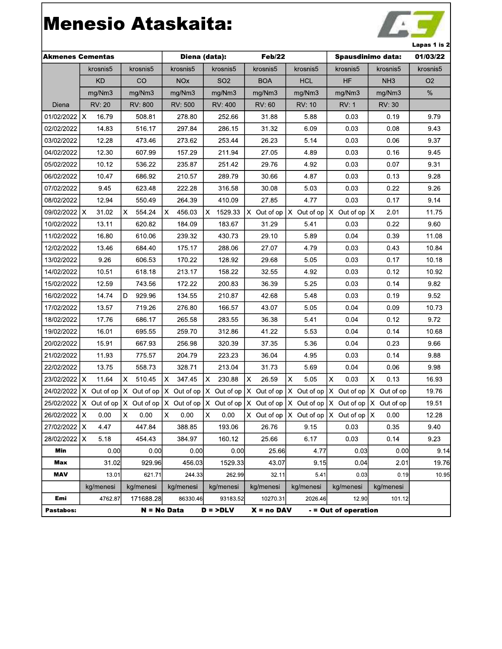

| <b>Akmenes Cementas</b> |               |                  | Diena (data):                                                      | Feb/22          | Spausdinimo data: |                                                                                                        |                      | 01/03/22        |                |
|-------------------------|---------------|------------------|--------------------------------------------------------------------|-----------------|-------------------|--------------------------------------------------------------------------------------------------------|----------------------|-----------------|----------------|
|                         | krosnis5      | krosnis5         | krosnis5                                                           | krosnis5        | krosnis5          | krosnis5                                                                                               | krosnis5             | krosnis5        | krosnis5       |
|                         | <b>KD</b>     | CO               | <b>NOx</b>                                                         | SO <sub>2</sub> | <b>BOA</b>        | <b>HCL</b>                                                                                             | <b>HF</b>            | NH <sub>3</sub> | O <sub>2</sub> |
|                         | mg/Nm3        | mg/Nm3           | mg/Nm3                                                             | mg/Nm3          | mg/Nm3            | mg/Nm3                                                                                                 | mg/Nm3               | mg/Nm3          | $\%$           |
| Diena                   | <b>RV: 20</b> | RV: 800          | RV: 500                                                            | RV: 400         | <b>RV: 60</b>     | <b>RV: 10</b>                                                                                          | <b>RV: 1</b>         | RV: 30          |                |
| 01/02/2022              | Ix.<br>16.79  | 508.81           | 278.80                                                             | 252.66          | 31.88             | 5.88                                                                                                   | 0.03                 | 0.19            | 9.79           |
| 02/02/2022              | 14.83         | 516.17           | 297.84                                                             | 286.15          | 31.32             | 6.09                                                                                                   | 0.03                 | 0.08            | 9.43           |
| 03/02/2022              | 12.28         | 473.46           | 273.62                                                             | 253.44          | 26.23             | 5.14                                                                                                   | 0.03                 | 0.06            | 9.37           |
| 04/02/2022              | 12.30         | 607.99           | 157.29                                                             | 211.94          | 27.05             | 4.89                                                                                                   | 0.03                 | 0.16            | 9.45           |
| 05/02/2022              | 10.12         | 536.22           | 235.87                                                             | 251.42          | 29.76             | 4.92                                                                                                   | 0.03                 | 0.07            | 9.31           |
| 06/02/2022              | 10.47         | 686.92           | 210.57                                                             | 289.79          | 30.66             | 4.87                                                                                                   | 0.03                 | 0.13            | 9.28           |
| 07/02/2022              | 9.45          | 623.48           | 222.28                                                             | 316.58          | 30.08             | 5.03                                                                                                   | 0.03                 | 0.22            | 9.26           |
| 08/02/2022              | 12.94         | 550.49           | 264.39                                                             | 410.09          | 27.85             | 4.77                                                                                                   | 0.03                 | 0.17            | 9.14           |
| 09/02/2022   X          | 31.02         | X<br>554.24      | X<br>456.03                                                        | X.<br>1529.33   | X Out of op       | X Out of op                                                                                            | X Out of op          | Ιx<br>2.01      | 11.75          |
| 10/02/2022              | 13.11         | 620.82           | 184.09                                                             | 183.67          | 31.29             | 5.41                                                                                                   | 0.03                 | 0.22            | 9.60           |
| 11/02/2022              | 16.80         | 610.06           | 239.32                                                             | 430.73          | 29.10             | 5.89                                                                                                   | 0.04                 | 0.39            | 11.08          |
| 12/02/2022              | 13.46         | 684.40           | 175.17                                                             | 288.06          | 27.07             | 4.79                                                                                                   | 0.03                 | 0.43            | 10.84          |
| 13/02/2022              | 9.26          | 606.53           | 170.22                                                             | 128.92          | 29.68             | 5.05                                                                                                   | 0.03                 | 0.17            | 10.18          |
| 14/02/2022              | 10.51         | 618.18           | 213.17                                                             | 158.22          | 32.55             | 4.92                                                                                                   | 0.03                 | 0.12            | 10.92          |
| 15/02/2022              | 12.59         | 743.56           | 172.22                                                             | 200.83          | 36.39             | 5.25                                                                                                   | 0.03                 | 0.14            | 9.82           |
| 16/02/2022              | 14.74         | 929.96<br>D      | 134.55                                                             | 210.87          | 42.68             | 5.48                                                                                                   | 0.03                 | 0.19            | 9.52           |
| 17/02/2022              | 13.57         | 719.26           | 276.80                                                             | 166.57          | 43.07             | 5.05                                                                                                   | 0.04                 | 0.09            | 10.73          |
| 18/02/2022              | 17.76         | 686.17           | 265.58                                                             | 283.55          | 36.38             | 5.41                                                                                                   | 0.04                 | 0.12            | 9.72           |
| 19/02/2022              | 16.01         | 695.55           | 259.70                                                             | 312.86          | 41.22             | 5.53                                                                                                   | 0.04                 | 0.14            | 10.68          |
| 20/02/2022              | 15.91         | 667.93           | 256.98                                                             | 320.39          | 37.35             | 5.36                                                                                                   | 0.04                 | 0.23            | 9.66           |
| 21/02/2022              | 11.93         | 775.57           | 204.79                                                             | 223.23          | 36.04             | 4.95                                                                                                   | 0.03                 | 0.14            | 9.88           |
| 22/02/2022              | 13.75         | 558.73           | 328.71                                                             | 213.04          | 31.73             | 5.69                                                                                                   | 0.04                 | 0.06            | 9.98           |
| 23/02/2022              | Ix.<br>11.64  | X<br>510.45      | X.<br>347.45                                                       | X<br>230.88     | X<br>26.59        | X<br>5.05                                                                                              | X<br>0.03            | X<br>0.13       | 16.93          |
| 24/02/2022              | X Out of op   | IX.<br>Out of op | X Out of op                                                        | X Out of op     | X Out of op       | X Out of op                                                                                            | X Out of op          | X Out of op     | 19.76          |
|                         |               |                  | $25/02/2022$ X Out of op $X$ Out of op $X$ Out of op $X$ Out of op |                 |                   | $X$ Out of op $X$ Out of op $X$ Out of op $X$ Out of op                                                |                      |                 | 19.51          |
| 26/02/2022 X 0.00       |               | $X$ 0.00         | $\mathsf{X} = 0.00$                                                | $X$ 0.00        |                   | $\begin{vmatrix} x & \text{Out of op} & X & \text{Out of op} & X & \text{Out of op} & X \end{vmatrix}$ |                      |                 | 12.28          |
| 27/02/2022   X          | 4.47          | 447.84           | 388.85                                                             | 193.06          | 26.76             | 9.15                                                                                                   | 0.03                 | 0.35            | 9.40           |
| 28/02/2022              | X<br>5.18     | 454.43           | 384.97                                                             | 160.12          | 25.66             | 6.17                                                                                                   | 0.03                 | 0.14            | 9.23           |
| Min                     | 0.00          | 0.00             | 0.00                                                               | 0.00            | 25.66             | 4.77                                                                                                   | 0.03                 | 0.00            | 9.14           |
| Max                     | 31.02         | 929.96           | 456.03                                                             | 1529.33         | 43.07             | 9.15                                                                                                   | 0.041                | 2.01            | 19.76          |
| <b>MAV</b>              | 13.01         | 621.71           | 244.33                                                             | 262.99          | 32.11             | 5.41                                                                                                   | 0.03                 | 0.19            | 10.95          |
|                         | kg/menesi     | kg/menesi        | kg/menesi                                                          | kg/menesi       | kg/menesi         | kg/menesi                                                                                              | kg/menesi            | kg/menesi       |                |
| Emi                     | 4762.87       | 171688.28        | 86330.46                                                           | 93183.52        | 10270.31          | 2026.46                                                                                                | 12.90                | 101.12          |                |
| Pastabos:               |               |                  | $N = No Data$                                                      | $D =$ >DLV      | $X = no$ DAV      |                                                                                                        | - = Out of operation |                 |                |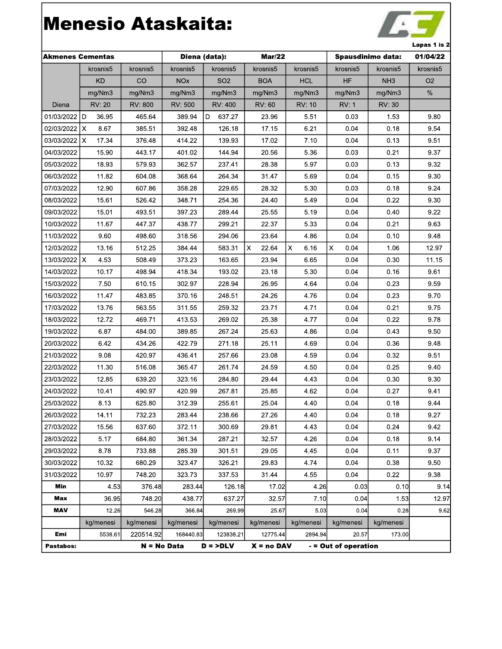

| <b>Akmenes Cementas</b> |                      |               | Diena (data):         |                 | <b>Mar/22</b> |            | Spausdinimo data:    |                 | 01/04/22       |
|-------------------------|----------------------|---------------|-----------------------|-----------------|---------------|------------|----------------------|-----------------|----------------|
|                         | krosnis5             | krosnis5      | krosnis5              | krosnis5        | krosnis5      | krosnis5   | krosnis5             | krosnis5        | krosnis5       |
|                         | <b>KD</b>            | CO            | <b>NO<sub>x</sub></b> | SO <sub>2</sub> | <b>BOA</b>    | <b>HCL</b> | HF                   | NH <sub>3</sub> | O <sub>2</sub> |
|                         | mg/Nm3               | mg/Nm3        | mg/Nm3                | mg/Nm3          | mg/Nm3        | mg/Nm3     | mg/Nm3               | mg/Nm3          | $\%$           |
| Diena                   | <b>RV: 20</b>        | RV: 800       | RV: 500               | <b>RV: 400</b>  | RV: 60        | RV: 10     | RV: 1                | RV: 30          |                |
| 01/03/2022              | D<br>36.95           | 465.64        | 389.94                | D<br>637.27     | 23.96         | 5.51       | 0.03                 | 1.53            | 9.80           |
| 02/03/2022              | $\mathsf{x}$<br>8.67 | 385.51        | 392.48                | 126.18          | 17.15         | 6.21       | 0.04                 | 0.18            | 9.54           |
| 03/03/2022              | X<br>17.34           | 376.48        | 414.22                | 139.93          | 17.02         | 7.10       | 0.04                 | 0.13            | 9.51           |
| 04/03/2022              | 15.90                | 443.17        | 401.02                | 144.94          | 20.56         | 5.36       | 0.03                 | 0.21            | 9.37           |
| 05/03/2022              | 18.93                | 579.93        | 362.57                | 237.41          | 28.38         | 5.97       | 0.03                 | 0.13            | 9.32           |
| 06/03/2022              | 11.82                | 604.08        | 368.64                | 264.34          | 31.47         | 5.69       | 0.04                 | 0.15            | 9.30           |
| 07/03/2022              | 12.90                | 607.86        | 358.28                | 229.65          | 28.32         | 5.30       | 0.03                 | 0.18            | 9.24           |
| 08/03/2022              | 15.61                | 526.42        | 348.71                | 254.36          | 24.40         | 5.49       | 0.04                 | 0.22            | 9.30           |
| 09/03/2022              | 15.01                | 493.51        | 397.23                | 289.44          | 25.55         | 5.19       | 0.04                 | 0.40            | 9.22           |
| 10/03/2022              | 11.67                | 447.37        | 438.77                | 299.21          | 22.37         | 5.33       | 0.04                 | 0.21            | 9.63           |
| 11/03/2022              | 9.60                 | 498.60        | 318.56                | 294.06          | 23.64         | 4.86       | 0.04                 | 0.10            | 9.48           |
| 12/03/2022              | 13.16                | 512.25        | 384.44                | 583.31          | X<br>22.64    | 6.16<br>X  | X<br>0.04            | 1.06            | 12.97          |
| 13/03/2022   X          | 4.53                 | 508.49        | 373.23                | 163.65          | 23.94         | 6.65       | 0.04                 | 0.30            | 11.15          |
| 14/03/2022              | 10.17                | 498.94        | 418.34                | 193.02          | 23.18         | 5.30       | 0.04                 | 0.16            | 9.61           |
| 15/03/2022              | 7.50                 | 610.15        | 302.97                | 228.94          | 26.95         | 4.64       | 0.04                 | 0.23            | 9.59           |
| 16/03/2022              | 11.47                | 483.85        | 370.16                | 248.51          | 24.26         | 4.76       | 0.04                 | 0.23            | 9.70           |
| 17/03/2022              | 13.76                | 563.55        | 311.55                | 259.32          | 23.71         | 4.71       | 0.04                 | 0.21            | 9.75           |
| 18/03/2022              | 12.72                | 469.71        | 413.53                | 269.02          | 25.38         | 4.77       | 0.04                 | 0.22            | 9.78           |
| 19/03/2022              | 6.87                 | 484.00        | 389.85                | 267.24          | 25.63         | 4.86       | 0.04                 | 0.43            | 9.50           |
| 20/03/2022              | 642                  | 434.26        | 422.79                | 271.18          | 25.11         | 4.69       | 0.04                 | 0.36            | 9.48           |
| 21/03/2022              | 9.08                 | 420.97        | 436.41                | 257.66          | 23.08         | 4.59       | 0.04                 | 0.32            | 9.51           |
| 22/03/2022              | 11.30                | 516.08        | 365.47                | 261.74          | 24.59         | 4.50       | 0.04                 | 0.25            | 9.40           |
| 23/03/2022              | 12.85                | 639.20        | 323.16                | 284.80          | 29.44         | 4.43       | 0.04                 | 0.30            | 9.30           |
| 24/03/2022              | 10.41                | 490.97        | 420.99                | 267.81          | 25.85         | 4.62       | 0.04                 | 0.27            | 9.41           |
| 25/03/2022              | 8.13                 | 625.80        | 312.39                | 255.61          | 25.04         | 4.40       | 0.04                 | 0.18            | 9.44           |
| 26/03/2022              | 14.11                | 732.23        | 283.44                | 238.66          | 27.26         | 4.40       | 0.04                 | 0.18            | 9.27           |
| 27/03/2022              | 15.56                | 637.60        | 372.11                | 300.69          | 29.81         | 4.43       | 0.04                 | 0.24            | 9.42           |
| 28/03/2022              | 5.17                 | 684.80        | 361.34                | 287.21          | 32.57         | 4.26       | 0.04                 | 0.18            | 9.14           |
| 29/03/2022              | 8.78                 | 733.88        | 285.39                | 301.51          | 29.05         | 4.45       | 0.04                 | 0.11            | 9.37           |
| 30/03/2022              | 10.32                | 680.29        | 323.47                | 326.21          | 29.83         | 4.74       | 0.04                 | 0.38            | 9.50           |
| 31/03/2022              | 10.97                | 748.20        | 323.73                | 337.53          | 31.44         | 4.55       | 0.04                 | 0.22            | 9.38           |
| Min                     | 4.53                 | 376.48        | 283.44                | 126.18          | 17.02         | 4.26       | 0.03                 | 0.10            | 9.14           |
| Max                     | 36.95                | 748.20        | 438.77                | 637.27          | 32.57         | 7.10       | 0.04                 | 1.53            | 12.97          |
| <b>MAV</b>              | 12.26                | 546.28        | 366.84                | 269.99          | 25.67         | 5.03       | 0.04                 | 0.28            | 9.62           |
|                         | kg/menesi            | kg/menesi     | kg/menesi             | kg/menesi       | kg/menesi     | kg/menesi  | kg/menesi            | kg/menesi       |                |
| Emi                     | 5538.61              | 220514.92     | 168440.83             | 123838.21       | 12775.44      | 2894.94    | 20.57                | 173.00          |                |
| Pastabos:               |                      | $N = No Data$ |                       | $D =$ >DLV      | $X = no$ DAV  |            | - = Out of operation |                 |                |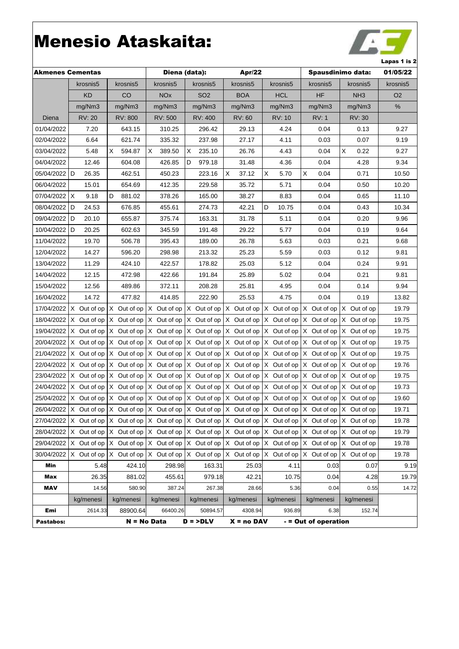

| <b>Akmenes Cementas</b> |                          |               |                       | Diena (data):   | Apr/22                                                                                                                                                                                 |               |                      | Spausdinimo data: | 01/05/22       |
|-------------------------|--------------------------|---------------|-----------------------|-----------------|----------------------------------------------------------------------------------------------------------------------------------------------------------------------------------------|---------------|----------------------|-------------------|----------------|
|                         | krosnis5                 | krosnis5      | krosnis5              | krosnis5        | krosnis5                                                                                                                                                                               | krosnis5      | krosnis5             | krosnis5          | krosnis5       |
|                         | <b>KD</b>                | <b>CO</b>     | <b>NO<sub>x</sub></b> | SO <sub>2</sub> | <b>BOA</b>                                                                                                                                                                             | <b>HCL</b>    | HF                   | NH <sub>3</sub>   | O <sub>2</sub> |
|                         | mg/Nm3                   | mg/Nm3        | mg/Nm3                | mg/Nm3          | mg/Nm3                                                                                                                                                                                 | mg/Nm3        | mg/Nm3               | mg/Nm3            | $\%$           |
| Diena                   | <b>RV: 20</b>            | RV: 800       | RV: 500               | RV: 400         | <b>RV: 60</b>                                                                                                                                                                          | <b>RV: 10</b> | <b>RV: 1</b>         | RV: 30            |                |
| 01/04/2022              | 7.20                     | 643.15        | 310.25                | 296.42          | 29.13                                                                                                                                                                                  | 4.24          | 0.04                 | 0.13              | 9.27           |
| 02/04/2022              | 6.64                     | 621.74        | 335.32                | 237.98          | 27.17                                                                                                                                                                                  | 4.11          | 0.03                 | 0.07              | 9.19           |
| 03/04/2022              | 5.48                     | х<br>594.87   | X<br>389.50           | 235.10<br>Х     | 26.76                                                                                                                                                                                  | 4.43          | 0.04                 | Χ<br>0.22         | 9.27           |
| 04/04/2022              | 12.46                    | 604.08        | 426.85                | 979.18<br>D     | 31.48                                                                                                                                                                                  | 4.36          | 0.04                 | 4.28              | 9.34           |
| 05/04/2022 D            | 26.35                    | 462.51        | 450.23                | 223.16          | Х<br>37.12                                                                                                                                                                             | Х<br>5.70     | х<br>0.04            | 0.71              | 10.50          |
| 06/04/2022              | 15.01                    | 654.69        | 412.35                | 229.58          | 35.72                                                                                                                                                                                  | 5.71          | 0.04                 | 0.50              | 10.20          |
| 07/04/2022   X          | 9.18                     | D<br>881.02   | 378.26                | 165.00          | 38.27                                                                                                                                                                                  | 8.83          | 0.04                 | 0.65              | 11.10          |
| 08/04/2022              | D<br>24.53               | 676.85        | 455.61                | 274.73          | 42.21                                                                                                                                                                                  | D<br>10.75    | 0.04                 | 0.43              | 10.34          |
| 09/04/2022 D            | 20.10                    | 655.87        | 375.74                | 163.31          | 31.78                                                                                                                                                                                  | 5.11          | 0.04                 | 0.20              | 9.96           |
| 10/04/2022              | D<br>20.25               | 602.63        | 345.59                | 191.48          | 29.22                                                                                                                                                                                  | 5.77          | 0.04                 | 0.19              | 9.64           |
| 11/04/2022              | 19.70                    | 506.78        | 395.43                | 189.00          | 26.78                                                                                                                                                                                  | 5.63          | 0.03                 | 0.21              | 9.68           |
| 12/04/2022              | 14.27                    | 596.20        | 298.98                | 213.32          | 25.23                                                                                                                                                                                  | 5.59          | 0.03                 | 0.12              | 9.81           |
| 13/04/2022              | 11.29                    | 424.10        | 422.57                | 178.82          | 25.03                                                                                                                                                                                  | 5.12          | 0.04                 | 0.24              | 9.91           |
| 14/04/2022              | 12.15                    | 472.98        | 422.66                | 191.84          | 25.89                                                                                                                                                                                  | 5.02          | 0.04                 | 0.21              | 9.81           |
| 15/04/2022              | 12.56                    | 489.86        | 372.11                | 208.28          | 25.81                                                                                                                                                                                  | 4.95          | 0.04                 | 0.14              | 9.94           |
| 16/04/2022              | 14.72                    | 477.82        | 414.85                | 222.90          | 25.53                                                                                                                                                                                  | 4.75          | 0.04                 | 0.19              | 13.82          |
| 17/04/2022              | X Out of op              | X Out of op   | X Out of op           | X Out of op     | X Out of op                                                                                                                                                                            | X Out of op   | X Out of op          | X Out of op       | 19.79          |
| 18/04/2022              | X Out of op              | X Out of op   | X Out of op           | X Out of op     | X Out of op                                                                                                                                                                            | X Out of op   | X Out of op          | X Out of op       | 19.75          |
| 19/04/2022              | $X$ Out of op            | $X$ Out of op | X Out of op           | X Out of op     | X Out of op                                                                                                                                                                            | X Out of op   | X Out of op          | X Out of op       | 19.75          |
| 20/04/2022              | $X$ Out of op            | $X$ Out of op | X Out of op           | $X$ Out of op   | X Out of op                                                                                                                                                                            | X Out of op   | X Out of op          | X Out of op       | 19.75          |
|                         | 21/04/2022   X Out of op | $X$ Out of op | X Out of op           | $X$ Out of op   | X Out of op                                                                                                                                                                            | X Out of op   | X Out of op          | X Out of op       | 19.75          |
| 22/04/2022              | X Out of op              | X Out of op   | X Out of op           | X Out of op     | X Out of op                                                                                                                                                                            | X Out of op   | X Out of op          | X Out of op       | 19.76          |
| 23/04/2022              | $X$ Out of op            | $X$ Out of op | X Out of op           | X Out of op     | X Out of op                                                                                                                                                                            | X Out of op   | X Out of op          | X Out of op       | 19.75          |
| 24/04/2022              | X Out of op              | $X$ Out of op | $X$ Out of op         | $X$ Out of op   | X Out of op                                                                                                                                                                            | X Out of op   | X Out of op          | X Out of op       | 19.73          |
|                         |                          |               |                       |                 | $25/04/2022$ X Out of op $X$ Out of op $X$ Out of op $X$ Out of op $X$ Out of op $X$ Out of op $X$ Out of op $X$ Out of op $X$                                                         |               |                      |                   | 19.60          |
|                         |                          |               |                       |                 | 26/04/2022 X Out of op $\vert$ X Out of op $\vert$ X Out of op $\vert$ X Out of op $\vert$ X Out of op $\vert$ X Out of op $\vert$ X Out of op $\vert$ X Out of op $\vert$ X Out of op |               |                      |                   | 19.71          |
| 27/04/2022              |                          |               |                       |                 | X Out of op   X Out of op   X Out of op   X Out of op   X Out of op   X Out of op   X Out of op   X Out of op                                                                          |               |                      |                   | 19.78          |
|                         |                          |               |                       |                 | 28/04/2022   X Out of op $\vert$ X Out of op $\vert$ X Out of op $\vert$ X Out of op $\vert$ X Out of op $\vert$ X Out of op $\vert$ X Out of op                                       |               |                      | X Out of op       | 19.79          |
| 29/04/2022              | X Out of op              | X Out of op   | X Out of op           | X Out of op     | X Out of op                                                                                                                                                                            | X Out of op   | X Out of op          | X Out of op       | 19.78          |
| 30/04/2022              | X Out of op I            | X Out of op   | $X$ Out of op         | $X$ Out of op   | X Out of op                                                                                                                                                                            | X Out of op   | X Out of op          | X Out of op       | 19.78          |
| Min                     | 5.48                     | 424.10        | 298.98                | 163.31          | 25.03                                                                                                                                                                                  | 4.11          | 0.03                 | 0.07              | 9.19           |
| Max                     | 26.35                    | 881.02        | 455.61                | 979.18          | 42.21                                                                                                                                                                                  | 10.75         | 0.04                 | 4.28              | 19.79          |
| MAV                     | 14.56                    | 580.90        | 387.24                | 267.38          | 28.66                                                                                                                                                                                  | 5.36          | 0.04                 | 0.55              | 14.72          |
|                         | kg/menesi                | kg/menesi     | kg/menesi             | kg/menesi       | kg/menesi                                                                                                                                                                              | kg/menesi     | kg/menesi            | kg/menesi         |                |
| Emi                     | 2614.33                  | 88900.64      | 66400.26              | 50894.57        | 4308.94                                                                                                                                                                                | 936.89        | 6.38                 | 152.74            |                |
| Pastabos:               |                          |               | $N = No Data$         | $D =$ >DLV      | $X = no$ DAV                                                                                                                                                                           |               | - = Out of operation |                   |                |